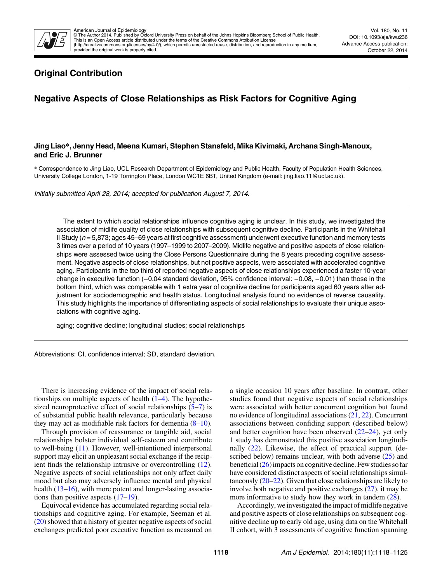

# Original Contribution

# Negative Aspects of Close Relationships as Risk Factors for Cognitive Aging

# Jing Liao\*, Jenny Head, Meena Kumari, Stephen Stansfeld, Mika Kivimaki, Archana Singh-Manoux, and Eric J. Brunner

\* Correspondence to Jing Liao, UCL Research Department of Epidemiology and Public Health, Faculty of Population Health Sciences, University College London, 1-19 Torrington Place, London WC1E 6BT, United Kingdom (e-mail: jing.liao.11@ucl.ac.uk).

Initially submitted April 28, 2014; accepted for publication August 7, 2014.

The extent to which social relationships influence cognitive aging is unclear. In this study, we investigated the association of midlife quality of close relationships with subsequent cognitive decline. Participants in the Whitehall II Study ( $n = 5,873$ ; ages 45–69 years at first cognitive assessment) underwent executive function and memory tests 3 times over a period of 10 years (1997–1999 to 2007–2009). Midlife negative and positive aspects of close relationships were assessed twice using the Close Persons Questionnaire during the 8 years preceding cognitive assessment. Negative aspects of close relationships, but not positive aspects, were associated with accelerated cognitive aging. Participants in the top third of reported negative aspects of close relationships experienced a faster 10-year change in executive function (−0.04 standard deviation, 95% confidence interval: −0.08, −0.01) than those in the bottom third, which was comparable with 1 extra year of cognitive decline for participants aged 60 years after adjustment for sociodemographic and health status. Longitudinal analysis found no evidence of reverse causality. This study highlights the importance of differentiating aspects of social relationships to evaluate their unique associations with cognitive aging.

aging; cognitive decline; longitudinal studies; social relationships

Abbreviations: CI, confidence interval; SD, standard deviation.

There is increasing evidence of the impact of social relationships on multiple aspects of health  $(1-4)$  $(1-4)$  $(1-4)$  $(1-4)$ . The hypothesized neuroprotective effect of social relationships  $(5-7)$  $(5-7)$  $(5-7)$  $(5-7)$  is of substantial public health relevance, particularly because they may act as modifiable risk factors for dementia  $(8-10)$  $(8-10)$  $(8-10)$  $(8-10)$ .

Through provision of reassurance or tangible aid, social relationships bolster individual self-esteem and contribute to well-being ([11\)](#page-5-0). However, well-intentioned interpersonal support may elicit an unpleasant social exchange if the recipient finds the relationship intrusive or overcontrolling ([12](#page-5-0)). Negative aspects of social relationships not only affect daily mood but also may adversely influence mental and physical health ([13](#page-5-0)–[16\)](#page-5-0), with more potent and longer-lasting associations than positive aspects  $(17–19)$  $(17–19)$  $(17–19)$  $(17–19)$ .

Equivocal evidence has accumulated regarding social relationships and cognitive aging. For example, Seeman et al. [\(20](#page-6-0)) showed that a history of greater negative aspects of social exchanges predicted poor executive function as measured on a single occasion 10 years after baseline. In contrast, other studies found that negative aspects of social relationships were associated with better concurrent cognition but found no evidence of longitudinal associations [\(21](#page-6-0), [22\)](#page-6-0). Concurrent associations between confiding support (described below) and better cognition have been observed  $(22-24)$  $(22-24)$  $(22-24)$ , yet only 1 study has demonstrated this positive association longitudi-nally ([22](#page-6-0)). Likewise, the effect of practical support (described below) remains unclear, with both adverse  $(25)$  $(25)$  and beneficial  $(26)$  $(26)$  impacts on cognitive decline. Few studies so far have considered distinct aspects of social relationships simultaneously  $(20-22)$  $(20-22)$  $(20-22)$  $(20-22)$ . Given that close relationships are likely to involve both negative and positive exchanges [\(27](#page-6-0)), it may be more informative to study how they work in tandem  $(28)$  $(28)$ .

Accordingly, we investigated the impact of midlife negative and positive aspects of close relationships on subsequent cognitive decline up to early old age, using data on the Whitehall II cohort, with 3 assessments of cognitive function spanning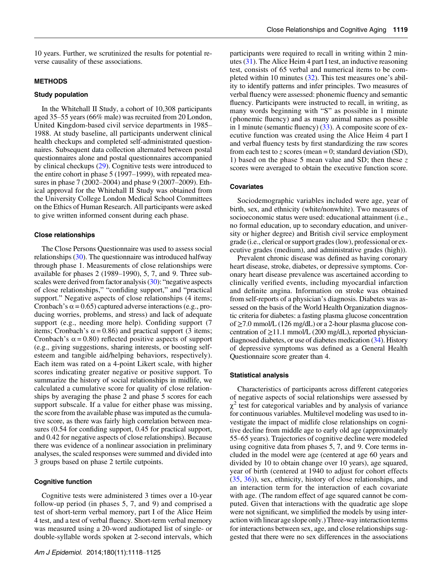10 years. Further, we scrutinized the results for potential reverse causality of these associations.

#### METHODS

#### Study population

In the Whitehall II Study, a cohort of 10,308 participants aged 35–55 years (66% male) was recruited from 20 London, United Kingdom-based civil service departments in 1985– 1988. At study baseline, all participants underwent clinical health checkups and completed self-administrated questionnaires. Subsequent data collection alternated between postal questionnaires alone and postal questionnaires accompanied by clinical checkups [\(29](#page-6-0)). Cognitive tests were introduced to the entire cohort in phase 5 (1997–1999), with repeated measures in phase 7 (2002–2004) and phase 9 (2007–2009). Ethical approval for the Whitehall II Study was obtained from the University College London Medical School Committees on the Ethics of Human Research. All participants were asked to give written informed consent during each phase.

### Close relationships

The Close Persons Questionnaire was used to assess social relationships [\(30\)](#page-6-0). The questionnaire was introduced halfway through phase 1. Measurements of close relationships were available for phases 2 (1989–1990), 5, 7, and 9. Three subscales were derived from factor analysis [\(30](#page-6-0)): "negative aspects of close relationships," "confiding support," and "practical support." Negative aspects of close relationships (4 items; Cronbach's  $\alpha$  = 0.65) captured adverse interactions (e.g., producing worries, problems, and stress) and lack of adequate support (e.g., needing more help). Confiding support (7 items; Cronbach's  $\alpha$  = 0.86) and practical support (3 items; Cronbach's  $\alpha$  = 0.80) reflected positive aspects of support (e.g., giving suggestions, sharing interests, or boosting selfesteem and tangible aid/helping behaviors, respectively). Each item was rated on a 4-point Likert scale, with higher scores indicating greater negative or positive support. To summarize the history of social relationships in midlife, we calculated a cumulative score for quality of close relationships by averaging the phase 2 and phase 5 scores for each support subscale. If a value for either phase was missing, the score from the available phase was imputed as the cumulative score, as there was fairly high correlation between measures (0.54 for confiding support, 0.45 for practical support, and 0.42 for negative aspects of close relationships). Because there was evidence of a nonlinear association in preliminary analyses, the scaled responses were summed and divided into 3 groups based on phase 2 tertile cutpoints.

# Cognitive function

Cognitive tests were administered 3 times over a 10-year follow-up period (in phases 5, 7, and 9) and comprised a test of short-term verbal memory, part I of the Alice Heim 4 test, and a test of verbal fluency. Short-term verbal memory was measured using a 20-word audiotaped list of single- or double-syllable words spoken at 2-second intervals, which

participants were required to recall in writing within 2 minutes [\(31](#page-6-0)). The Alice Heim 4 part I test, an inductive reasoning test, consists of 65 verbal and numerical items to be completed within 10 minutes [\(32](#page-6-0)). This test measures one's ability to identify patterns and infer principles. Two measures of verbal fluency were assessed: phonemic fluency and semantic fluency. Participants were instructed to recall, in writing, as many words beginning with "S" as possible in 1 minute ( phonemic fluency) and as many animal names as possible in 1 minute (semantic fluency) [\(33](#page-6-0)). A composite score of executive function was created using the Alice Heim 4 part I and verbal fluency tests by first standardizing the raw scores from each test to z scores (mean  $= 0$ ; standard deviation (SD), 1) based on the phase 5 mean value and SD; then these  $z$ scores were averaged to obtain the executive function score.

#### **Covariates**

Sociodemographic variables included were age, year of birth, sex, and ethnicity (white/nonwhite). Two measures of socioeconomic status were used: educational attainment (i.e., no formal education, up to secondary education, and university or higher degree) and British civil service employment grade (i.e., clerical or support grades (low), professional or executive grades (medium), and administrative grades (high)).

Prevalent chronic disease was defined as having coronary heart disease, stroke, diabetes, or depressive symptoms. Coronary heart disease prevalence was ascertained according to clinically verified events, including myocardial infarction and definite angina. Information on stroke was obtained from self-reports of a physician's diagnosis. Diabetes was assessed on the basis of the World Health Organization diagnostic criteria for diabetes: a fasting plasma glucose concentration of ≥7.0 mmol/L (126 mg/dL) or a 2-hour plasma glucose concentration of  $\geq$ 11.1 mmol/L (200 mg/dL), reported physiciandiagnosed diabetes, or use of diabetes medication [\(34\)](#page-6-0). History of depressive symptoms was defined as a General Health Questionnaire score greater than 4.

#### Statistical analysis

Characteristics of participants across different categories of negative aspects of social relationships were assessed by  $\chi^2$  test for categorical variables and by analysis of variance for continuous variables. Multilevel modeling was used to investigate the impact of midlife close relationships on cognitive decline from middle age to early old age (approximately 55–65 years). Trajectories of cognitive decline were modeled using cognitive data from phases 5, 7, and 9. Core terms included in the model were age (centered at age 60 years and divided by 10 to obtain change over 10 years), age squared, year of birth (centered at 1940 to adjust for cohort effects [\(35](#page-6-0), [36](#page-6-0))), sex, ethnicity, history of close relationships, and an interaction term for the interaction of each covariate with age. (The random effect of age squared cannot be computed. Given that interactions with the quadratic age slope were not significant, we simplified the models by using interaction with linear age slope only.) Three-way interaction terms for interactions between sex, age, and close relationships suggested that there were no sex differences in the associations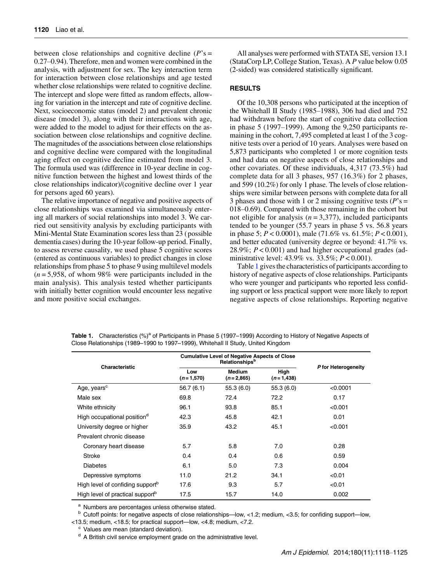between close relationships and cognitive decline  $(P's =$ 0.27–0.94). Therefore, men and women were combined in the analysis, with adjustment for sex. The key interaction term for interaction between close relationships and age tested whether close relationships were related to cognitive decline. The intercept and slope were fitted as random effects, allowing for variation in the intercept and rate of cognitive decline. Next, socioeconomic status (model 2) and prevalent chronic disease (model 3), along with their interactions with age, were added to the model to adjust for their effects on the association between close relationships and cognitive decline. The magnitudes of the associations between close relationships and cognitive decline were compared with the longitudinal aging effect on cognitive decline estimated from model 3. The formula used was (difference in 10-year decline in cognitive function between the highest and lowest thirds of the close relationships indicator)/(cognitive decline over 1 year for persons aged 60 years).

The relative importance of negative and positive aspects of close relationships was examined via simultaneously entering all markers of social relationships into model 3. We carried out sensitivity analysis by excluding participants with Mini-Mental State Examination scores less than 23 ( possible dementia cases) during the 10-year follow-up period. Finally, to assess reverse causality, we used phase 5 cognitive scores (entered as continuous variables) to predict changes in close relationships from phase 5 to phase 9 using multilevel models  $(n = 5.958, \text{ of whom } 98\% \text{ were participants included in the }$ main analysis). This analysis tested whether participants with initially better cognition would encounter less negative and more positive social exchanges.

All analyses were performed with STATA SE, version 13.1 (StataCorp LP, College Station, Texas). A P value below 0.05 (2-sided) was considered statistically significant.

## **RESULTS**

Of the 10,308 persons who participated at the inception of the Whitehall II Study (1985–1988), 306 had died and 752 had withdrawn before the start of cognitive data collection in phase 5 (1997–1999). Among the 9,250 participants remaining in the cohort, 7,495 completed at least 1 of the 3 cognitive tests over a period of 10 years. Analyses were based on 5,873 participants who completed 1 or more cognition tests and had data on negative aspects of close relationships and other covariates. Of these individuals, 4,317 (73.5%) had complete data for all 3 phases, 957 (16.3%) for 2 phases, and 599 (10.2%) for only 1 phase. The levels of close relationships were similar between persons with complete data for all 3 phases and those with 1 or 2 missing cognitive tests ( $P$ 's = 018–0.69). Compared with those remaining in the cohort but not eligible for analysis  $(n = 3,377)$ , included participants tended to be younger (55.7 years in phase 5 vs. 56.8 years in phase 5;  $P < 0.0001$ ), male (71.6% vs. 61.5%;  $P < 0.001$ ), and better educated (university degree or beyond: 41.7% vs. 28.9%;  $P < 0.001$ ) and had higher occupational grades (administrative level:  $43.9\%$  vs.  $33.5\%; P < 0.001$ ).

Table 1 gives the characteristics of participants according to history of negative aspects of close relationships. Participants who were younger and participants who reported less confiding support or less practical support were more likely to report negative aspects of close relationships. Reporting negative

| Characteristic                               | <b>Cumulative Level of Negative Aspects of Close</b> | P for Heterogeneity          |                     |          |  |  |
|----------------------------------------------|------------------------------------------------------|------------------------------|---------------------|----------|--|--|
|                                              | Low<br>$(n=1,570)$                                   | <b>Medium</b><br>$(n=2,865)$ | High<br>$(n=1,438)$ |          |  |  |
| Age, years <sup>c</sup>                      | 56.7(6.1)                                            | 55.3(6.0)                    | 55.3(6.0)           | < 0.0001 |  |  |
| Male sex                                     | 69.8                                                 | 72.4                         | 72.2                | 0.17     |  |  |
| White ethnicity                              | 96.1                                                 | 93.8                         | 85.1                | < 0.001  |  |  |
| High occupational position <sup>d</sup>      | 42.3                                                 | 45.8                         | 42.1                | 0.01     |  |  |
| University degree or higher                  | 35.9                                                 | 43.2                         | 45.1                | < 0.001  |  |  |
| Prevalent chronic disease                    |                                                      |                              |                     |          |  |  |
| Coronary heart disease                       | 5.7                                                  | 5.8                          | 7.0                 | 0.28     |  |  |
| Stroke                                       | 0.4                                                  | 0.4                          | 0.6                 | 0.59     |  |  |
| <b>Diabetes</b>                              | 6.1                                                  | 5.0                          | 7.3                 | 0.004    |  |  |
| Depressive symptoms                          | 11.0                                                 | 21.2                         | 34.1                | < 0.01   |  |  |
| High level of confiding support <sup>b</sup> | 17.6                                                 | 9.3                          | 5.7                 | < 0.01   |  |  |
| High level of practical support <sup>b</sup> | 17.5                                                 | 15.7                         | 14.0                | 0.002    |  |  |

Table 1. Characteristics  $(%)^a$  of Participants in Phase 5 (1997–1999) According to History of Negative Aspects of Close Relationships (1989–1990 to 1997–1999), Whitehall II Study, United Kingdom

<sup>a</sup> Numbers are percentages unless otherwise stated.<br><sup>b</sup> Cutoff points: for negative aspects of close relationships—low, <1.2; medium, <3.5; for confiding support—low,

<13.5; medium, <18.5; for practical support—low, <4.8; medium, <7.2.

<sup>c</sup> Values are mean (standard deviation).

<sup>d</sup> A British civil service employment grade on the administrative level.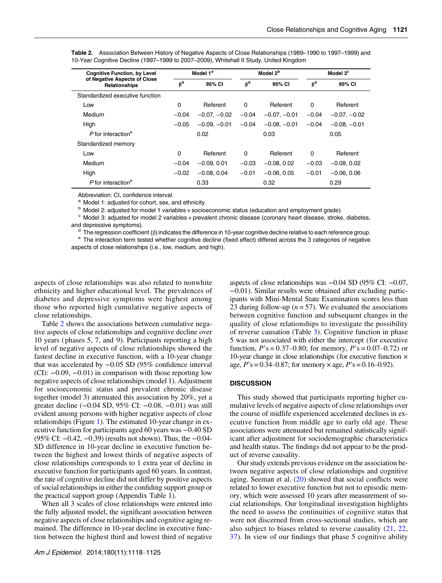| <b>Cognitive Function, by Level</b><br>of Negative Aspects of Close<br>Relationships | Model 1 <sup>a</sup> |                | Model 2 <sup>b</sup> |                | Model 3 <sup>c</sup> |                |  |
|--------------------------------------------------------------------------------------|----------------------|----------------|----------------------|----------------|----------------------|----------------|--|
|                                                                                      | $\beta^d$            | 95% CI         | $\beta^d$            | 95% CI         | $\beta^d$            | 95% CI         |  |
| Standardized executive function                                                      |                      |                |                      |                |                      |                |  |
| Low                                                                                  | 0                    | Referent       | $\Omega$             | Referent       | 0                    | Referent       |  |
| Medium                                                                               | $-0.04$              | $-0.07, -0.02$ | $-0.04$              | $-0.07, -0.01$ | $-0.04$              | $-0.07, -0.02$ |  |
| High                                                                                 | $-0.05$              | $-0.09, -0.01$ | $-0.04$              | $-0.08, -0.01$ | $-0.04$              | $-0.08, -0.01$ |  |
| $P$ for interaction <sup>e</sup>                                                     |                      | 0.02           |                      | 0.03           | 0.05                 |                |  |
| Standardized memory                                                                  |                      |                |                      |                |                      |                |  |
| Low                                                                                  | 0                    | Referent       | $\Omega$             | Referent       | 0                    | Referent       |  |
| Medium                                                                               | $-0.04$              | $-0.09.0.01$   | $-0.03$              | $-0.08, 0.02$  | $-0.03$              | $-0.08, 0.02$  |  |
| High                                                                                 | $-0.02$              | $-0.08, 0.04$  | $-0.01$              | $-0.06, 0.05$  | $-0.01$              | $-0.06, 0.06$  |  |
| $P$ for interaction <sup>e</sup>                                                     | 0.33                 |                | 0.32                 |                | 0.29                 |                |  |

Table 2. Association Between History of Negative Aspects of Close Relationships (1989–1990 to 1997–1999) and 10-Year Cognitive Decline (1997–1999 to 2007–2009), Whitehall II Study, United Kingdom

Abbreviation: CI, confidence interval.

<sup>a</sup> Model 1: adjusted for cohort, sex, and ethnicity.<br><sup>b</sup> Model 2: adjusted for model 1 variables + socioeconomic status (education and employment grade).

 $\degree$  Model 3: adjusted for model 2 variables + prevalent chronic disease (coronary heart disease, stroke, diabetes, and depressive symptoms).

 $\textdegree$  The regression coefficient ( $\beta$ ) indicates the difference in 10-year cognitive decline relative to each reference group.<br> $\textdegree$  The interaction term tested whether cognitive decline (fixed effect) differed across th aspects of close relationships (i.e., low, medium, and high).

aspects of close relationships was also related to nonwhite ethnicity and higher educational level. The prevalences of diabetes and depressive symptoms were highest among those who reported high cumulative negative aspects of close relationships.

Table 2 shows the associations between cumulative negative aspects of close relationships and cognitive decline over 10 years ( phases 5, 7, and 9). Participants reporting a high level of negative aspects of close relationships showed the fastest decline in executive function, with a 10-year change that was accelerated by −0.05 SD (95% confidence interval (CI): −0.09, −0.01) in comparison with those reporting low negative aspects of close relationships (model 1). Adjustment for socioeconomic status and prevalent chronic disease together (model 3) attenuated this association by 20%, yet a greater decline (−0.04 SD, 95% CI: −0.08, −0.01) was still evident among persons with higher negative aspects of close relationships (Figure [1\)](#page-4-0). The estimated 10-year change in executive function for participants aged 60 years was −0.40 SD (95% CI: −0.42, −0.39) (results not shown). Thus, the −0.04- SD difference in 10-year decline in executive function between the highest and lowest thirds of negative aspects of close relationships corresponds to 1 extra year of decline in executive function for participants aged 60 years. In contrast, the rate of cognitive decline did not differ by positive aspects of social relationships in either the confiding support group or the practical support group (Appendix Table 1).

When all 3 scales of close relationships were entered into the fully adjusted model, the significant association between negative aspects of close relationships and cognitive aging remained. The difference in 10-year decline in executive function between the highest third and lowest third of negative

aspects of close relationships was −0.04 SD (95% CI: −0.07, −0.01). Similar results were obtained after excluding participants with Mini-Mental State Examination scores less than 23 during follow-up ( $n = 57$ ). We evaluated the associations between cognitive function and subsequent changes in the quality of close relationships to investigate the possibility of reverse causation (Table [3\)](#page-4-0). Cognitive function in phase 5 was not associated with either the intercept (for executive function,  $P$ 's = 0.37–0.80; for memory,  $P$ 's = 0.07–0.72) or 10-year change in close relationships (for executive function × age,  $P$ 's = 0.34–0.87; for memory  $\times$  age,  $P$ 's = 0.16–0.92).

#### **DISCUSSION**

This study showed that participants reporting higher cumulative levels of negative aspects of close relationships over the course of midlife experienced accelerated declines in executive function from middle age to early old age. These associations were attenuated but remained statistically significant after adjustment for sociodemographic characteristics and health status. The findings did not appear to be the product of reverse causality.

Our study extends previous evidence on the association between negative aspects of close relationships and cognitive aging. Seeman et al.  $(20)$  $(20)$  $(20)$  showed that social conflicts were related to lower executive function but not to episodic memory, which were assessed 10 years after measurement of social relationships. Our longitudinal investigation highlights the need to assess the continuities of cognitive status that were not discerned from cross-sectional studies, which are also subject to biases related to reverse causality ([21](#page-6-0), [22](#page-6-0), [37](#page-6-0)). In view of our findings that phase 5 cognitive ability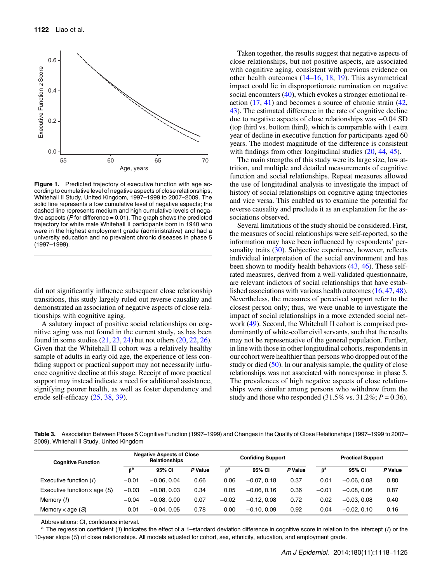<span id="page-4-0"></span>

Figure 1. Predicted trajectory of executive function with age according to cumulative level of negative aspects of close relationships, Whitehall II Study, United Kingdom, 1997–1999 to 2007–2009. The solid line represents a low cumulative level of negative aspects; the dashed line represents medium and high cumulative levels of negative aspects ( $\dot{P}$  for difference = 0.01). The graph shows the predicted trajectory for white male Whitehall II participants born in 1940 who were in the highest employment grade (administrative) and had a university education and no prevalent chronic diseases in phase 5 (1997–1999).

did not significantly influence subsequent close relationship transitions, this study largely ruled out reverse causality and demonstrated an association of negative aspects of close relationships with cognitive aging.

A salutary impact of positive social relationships on cognitive aging was not found in the current study, as has been found in some studies ([21,](#page-6-0) [23](#page-6-0), [24\)](#page-6-0) but not others ([20](#page-6-0), [22,](#page-6-0) [26](#page-6-0)). Given that the Whitehall II cohort was a relatively healthy sample of adults in early old age, the experience of less confiding support or practical support may not necessarily influence cognitive decline at this stage. Receipt of more practical support may instead indicate a need for additional assistance, signifying poorer health, as well as foster dependency and erode self-efficacy  $(25, 38, 39)$  $(25, 38, 39)$  $(25, 38, 39)$  $(25, 38, 39)$  $(25, 38, 39)$  $(25, 38, 39)$ .

Taken together, the results suggest that negative aspects of close relationships, but not positive aspects, are associated with cognitive aging, consistent with previous evidence on other health outcomes ([14](#page-5-0)–[16,](#page-5-0) [18,](#page-5-0) [19\)](#page-5-0). This asymmetrical impact could lie in disproportionate rumination on negative social encounters [\(40](#page-6-0)), which evokes a stronger emotional reaction [\(17](#page-5-0), [41](#page-6-0)) and becomes a source of chronic strain [\(42](#page-6-0), [43\)](#page-6-0). The estimated difference in the rate of cognitive decline due to negative aspects of close relationships was −0.04 SD (top third vs. bottom third), which is comparable with 1 extra year of decline in executive function for participants aged 60 years. The modest magnitude of the difference is consistent with findings from other longitudinal studies  $(20, 44, 45)$  $(20, 44, 45)$  $(20, 44, 45)$  $(20, 44, 45)$  $(20, 44, 45)$ .

The main strengths of this study were its large size, low attrition, and multiple and detailed measurements of cognitive function and social relationships. Repeat measures allowed the use of longitudinal analysis to investigate the impact of history of social relationships on cognitive aging trajectories and vice versa. This enabled us to examine the potential for reverse causality and preclude it as an explanation for the associations observed.

Several limitations of the study should be considered. First, the measures of social relationships were self-reported, so the information may have been influenced by respondents' per-sonality traits ([30\)](#page-6-0). Subjective experience, however, reflects individual interpretation of the social environment and has been shown to modify health behaviors ([43,](#page-6-0) [46\)](#page-6-0). These selfrated measures, derived from a well-validated questionnaire, are relevant indictors of social relationships that have established associations with various health outcomes [\(16](#page-5-0), [47,](#page-6-0) [48](#page-6-0)). Nevertheless, the measures of perceived support refer to the closest person only; thus, we were unable to investigate the impact of social relationships in a more extended social network ([49\)](#page-6-0). Second, the Whitehall II cohort is comprised predominantly of white-collar civil servants, such that the results may not be representative of the general population. Further, in line with those in other longitudinal cohorts, respondents in our cohort were healthier than persons who dropped out of the study or died  $(50)$  $(50)$ . In our analysis sample, the quality of close relationships was not associated with nonresponse in phase 5. The prevalences of high negative aspects of close relationships were similar among persons who withdrew from the study and those who responded  $(31.5\% \text{ vs. } 31.2\%; P = 0.36)$ .

Table 3. Association Between Phase 5 Cognitive Function (1997–1999) and Changes in the Quality of Close Relationships (1997–1999 to 2007– 2009), Whitehall II Study, United Kingdom

| <b>Cognitive Function</b>           | <b>Negative Aspects of Close</b><br><b>Relationships</b> |               |         | <b>Confiding Support</b> |               |         | <b>Practical Support</b> |               |         |
|-------------------------------------|----------------------------------------------------------|---------------|---------|--------------------------|---------------|---------|--------------------------|---------------|---------|
|                                     | $\mathbf{B}^{\mathbf{a}}$                                | 95% CI        | P Value | $\beta^a$                | 95% CI        | P Value | $\beta^a$                | 95% CI        | P Value |
| Executive function (1)              | $-0.01$                                                  | $-0.06, 0.04$ | 0.66    | 0.06                     | $-0.07, 0.18$ | 0.37    | 0.01                     | $-0.06, 0.08$ | 0.80    |
| Executive function $\times$ age (S) | $-0.03$                                                  | $-0.08, 0.03$ | 0.34    | 0.05                     | $-0.06.0.16$  | 0.36    | $-0.01$                  | $-0.08, 0.06$ | 0.87    |
| Memory (1)                          | $-0.04$                                                  | $-0.08, 0.00$ | 0.07    | $-0.02$                  | $-0.12.0.08$  | 0.72    | 0.02                     | $-0.03, 0.08$ | 0.40    |
| Memory $\times$ age (S)             | 0.01                                                     | $-0.04.0.05$  | 0.78    | 0.00                     | $-0.10, 0.09$ | 0.92    | 0.04                     | $-0.02, 0.10$ | 0.16    |

Abbreviations: CI, confidence interval.

<sup>a</sup> The regression coefficient (β) indicates the effect of a 1–standard deviation difference in cognitive score in relation to the intercept (/) or the 10-year slope (S) of close relationships. All models adjusted for cohort, sex, ethnicity, education, and employment grade.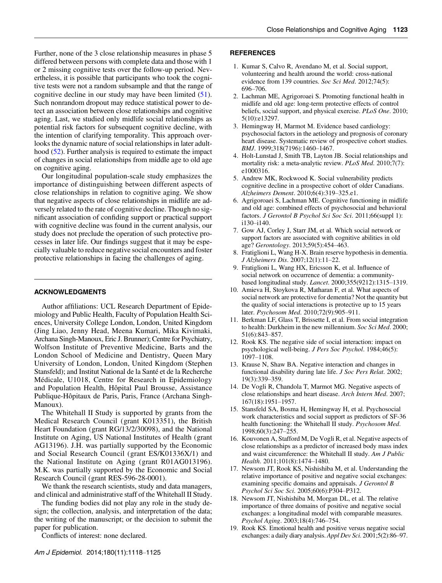<span id="page-5-0"></span>Further, none of the 3 close relationship measures in phase 5 differed between persons with complete data and those with 1 or 2 missing cognitive tests over the follow-up period. Nevertheless, it is possible that participants who took the cognitive tests were not a random subsample and that the range of cognitive decline in our study may have been limited  $(51)$  $(51)$ . Such nonrandom dropout may reduce statistical power to detect an association between close relationships and cognitive aging. Last, we studied only midlife social relationships as potential risk factors for subsequent cognitive decline, with the intention of clarifying temporality. This approach overlooks the dynamic nature of social relationships in later adulthood ([52\)](#page-6-0). Further analysis is required to estimate the impact of changes in social relationships from middle age to old age on cognitive aging.

Our longitudinal population-scale study emphasizes the importance of distinguishing between different aspects of close relationships in relation to cognitive aging. We show that negative aspects of close relationships in midlife are adversely related to the rate of cognitive decline. Though no significant association of confiding support or practical support with cognitive decline was found in the current analysis, our study does not preclude the operation of such protective processes in later life. Our findings suggest that it may be especially valuable to reduce negative social encounters and foster protective relationships in facing the challenges of aging.

## ACKNOWLEDGMENTS

Author affiliations: UCL Research Department of Epidemiology and Public Health, Faculty of Population Health Sciences, University College London, London, United Kingdom (Jing Liao, Jenny Head, Meena Kumari, Mika Kivimaki, Archana Singh-Manoux, Eric J. Brunner); Centre for Psychiatry, Wolfson Institute of Preventive Medicine, Barts and the London School of Medicine and Dentistry, Queen Mary University of London, London, United Kingdom (Stephen Stansfeld); and Institut National de la Santé et de la Recherche Médicale, U1018, Centre for Research in Epidemiology and Population Health, Hôpital Paul Brousse, Assistance Publique-Hôpitaux de Paris, Paris, France (Archana Singh-Manoux).

The Whitehall II Study is supported by grants from the Medical Research Council (grant K013351), the British Heart Foundation (grant RG/13/2/30098), and the National Institute on Aging, US National Institutes of Health (grant AG13196). J.H. was partially supported by the Economic and Social Research Council (grant ES/K01336X/1) and the National Institute on Aging (grant R01AG013196). M.K. was partially supported by the Economic and Social Research Council (grant RES-596-28-0001).

We thank the research scientists, study and data managers, and clinical and administrative staff of the Whitehall II Study.

The funding bodies did not play any role in the study design; the collection, analysis, and interpretation of the data; the writing of the manuscript; or the decision to submit the paper for publication.

Conflicts of interest: none declared.

#### **REFERENCES**

- 1. Kumar S, Calvo R, Avendano M, et al. Social support, volunteering and health around the world: cross-national evidence from 139 countries. Soc Sci Med. 2012;74(5): 696–706.
- 2. Lachman ME, Agrigoroaei S. Promoting functional health in midlife and old age: long-term protective effects of control beliefs, social support, and physical exercise. PLoS One. 2010; 5(10):e13297.
- 3. Hemingway H, Marmot M. Evidence based cardiology: psychosocial factors in the aetiology and prognosis of coronary heart disease. Systematic review of prospective cohort studies. BMJ. 1999;318(7196):1460–1467.
- 4. Holt-Lunstad J, Smith TB, Layton JB. Social relationships and mortality risk: a meta-analytic review. PLoS Med. 2010;7(7): e1000316.
- 5. Andrew MK, Rockwood K. Social vulnerability predicts cognitive decline in a prospective cohort of older Canadians. Alzheimers Dement. 2010;6(4):319–325.e1.
- 6. Agrigoroaei S, Lachman ME. Cognitive functioning in midlife and old age: combined effects of psychosocial and behavioral factors. J Gerontol B Psychol Sci Soc Sci. 2011;66(suppl 1): i130–i140.
- 7. Gow AJ, Corley J, Starr JM, et al. Which social network or support factors are associated with cognitive abilities in old age? Gerontology. 2013;59(5):454–463.
- 8. Fratiglioni L, Wang H-X. Brain reserve hypothesis in dementia. J Alzheimers Dis. 2007;12(1):11–22.
- 9. Fratiglioni L, Wang HX, Ericsson K, et al. Influence of social network on occurrence of dementia: a communitybased longitudinal study. Lancet. 2000;355(9212):1315–1319.
- 10. Amieva H, Stoykova R, Matharan F, et al. What aspects of social network are protective for dementia? Not the quantity but the quality of social interactions is protective up to 15 years later. Psychosom Med. 2010;72(9):905–911.
- 11. Berkman LF, Glass T, Brissette I, et al. From social integration to health: Durkheim in the new millennium. Soc Sci Med. 2000; 51(6):843–857.
- 12. Rook KS. The negative side of social interaction: impact on psychological well-being. J Pers Soc Psychol. 1984;46(5): 1097–1108.
- 13. Krause N, Shaw BA. Negative interaction and changes in functional disability during late life. *J Soc Pers Relat*. 2002; 19(3):339–359.
- 14. De Vogli R, Chandola T, Marmot MG. Negative aspects of close relationships and heart disease. Arch Intern Med. 2007; 167(18):1951–1957.
- 15. Stansfeld SA, Bosma H, Hemingway H, et al. Psychosocial work characteristics and social support as predictors of SF-36 health functioning: the Whitehall II study. Psychosom Med. 1998;60(3):247–255.
- 16. Kouvonen A, Stafford M, De Vogli R, et al. Negative aspects of close relationships as a predictor of increased body mass index and waist circumference: the Whitehall II study. Am J Public Health. 2011;101(8):1474–1480.
- 17. Newsom JT, Rook KS, Nishishiba M, et al. Understanding the relative importance of positive and negative social exchanges: examining specific domains and appraisals. J Gerontol B Psychol Sci Soc Sci. 2005;60(6):P304–P312.
- 18. Newsom JT, Nishishiba M, Morgan DL, et al. The relative importance of three domains of positive and negative social exchanges: a longitudinal model with comparable measures. Psychol Aging. 2003;18(4):746–754.
- 19. Rook KS. Emotional health and positive versus negative social exchanges: a daily diary analysis. Appl Dev Sci. 2001;5(2):86–97.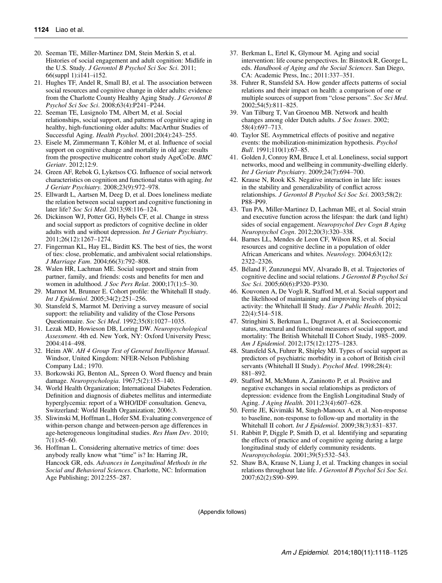- <span id="page-6-0"></span>20. Seeman TE, Miller-Martinez DM, Stein Merkin S, et al. Histories of social engagement and adult cognition: Midlife in the U.S. Study. J Gerontol B Psychol Sci Soc Sci. 2011; 66(suppl 1):i141–i152.
- 21. Hughes TF, Andel R, Small BJ, et al. The association between social resources and cognitive change in older adults: evidence from the Charlotte County Healthy Aging Study. J Gerontol B Psychol Sci Soc Sci. 2008;63(4):P241–P244.
- 22. Seeman TE, Lusignolo TM, Albert M, et al. Social relationships, social support, and patterns of cognitive aging in healthy, high-functioning older adults: MacArthur Studies of Successful Aging. Health Psychol. 2001;20(4):243–255.
- 23. Eisele M, Zimmermann T, Köhler M, et al. Influence of social support on cognitive change and mortality in old age: results from the prospective multicentre cohort study AgeCoDe. BMC Geriatr. 2012;12:9.
- 24. Green AF, Rebok G, Lyketsos CG. Influence of social network characteristics on cognition and functional status with aging. Int J Geriatr Psychiatry. 2008;23(9):972–978.
- 25. Ellwardt L, Aartsen M, Deeg D, et al. Does loneliness mediate the relation between social support and cognitive functioning in later life? Soc Sci Med. 2013;98:116–124.
- 26. Dickinson WJ, Potter GG, Hybels CF, et al. Change in stress and social support as predictors of cognitive decline in older adults with and without depression. Int J Geriatr Psychiatry. 2011;26(12):1267–1274.
- 27. Fingerman KL, Hay EL, Birditt KS. The best of ties, the worst of ties: close, problematic, and ambivalent social relationships. J Marriage Fam. 2004;66(3):792–808.
- 28. Walen HR, Lachman ME. Social support and strain from partner, family, and friends: costs and benefits for men and women in adulthood. J Soc Pers Relat. 2000;17(1):5–30.
- 29. Marmot M, Brunner E. Cohort profile: the Whitehall II study. Int J Epidemiol. 2005;34(2):251–256.
- 30. Stansfeld S, Marmot M. Deriving a survey measure of social support: the reliability and validity of the Close Persons Questionnaire. Soc Sci Med. 1992;35(8):1027–1035.
- 31. Lezak MD, Howieson DB, Loring DW. Neuropsychological Assessment. 4th ed. New York, NY: Oxford University Press; 2004:414–498.
- 32. Heim AW. AH 4 Group Test of General Intelligence Manual. Windsor, United Kingdom: NFER-Nelson Publishing Company Ltd.; 1970.
- 33. Borkowski JG, Benton AL, Spreen O. Word fluency and brain damage. Neuropsychologia. 1967;5(2):135–140.
- 34. World Health Organization; International Diabetes Federation. Definition and diagnosis of diabetes mellitus and intermediate hyperglycemia: report of a WHO/IDF consultation. Geneva, Switzerland: World Health Organization; 2006:3.
- 35. Sliwinski M, Hoffman L, Hofer SM. Evaluating convergence of within-person change and between-person age differences in age-heterogeneous longitudinal studies. Res Hum Dev. 2010; 7(1):45–60.
- 36. Hoffman L. Considering alternative metrics of time: does anybody really know what "time" is? In: Harring JR, Hancock GR, eds. Advances in Longitudinal Methods in the Social and Behavioral Sciences. Charlotte, NC: Information Age Publishing; 2012:255–287.
- 37. Berkman L, Ertel K, Glymour M. Aging and social intervention: life course perspectives. In: Binstock R, George L, eds. Handbook of Aging and the Social Sciences. San Diego, CA: Academic Press, Inc.; 2011:337–351.
- 38. Fuhrer R, Stansfeld SA. How gender affects patterns of social relations and their impact on health: a comparison of one or multiple sources of support from "close persons". Soc Sci Med. 2002;54(5):811–825.
- 39. Van Tilburg T, Van Groenou MB. Network and health changes among older Dutch adults. J Soc Issues. 2002; 58(4):697–713.
- 40. Taylor SE. Asymmetrical effects of positive and negative events: the mobilization-minimization hypothesis. Psychol Bull. 1991;110(1):67–85.
- 41. Golden J, Conroy RM, Bruce I, et al. Loneliness, social support networks, mood and wellbeing in community-dwelling elderly. Int J Geriatr Psychiatry. 2009;24(7):694–700.
- 42. Krause N, Rook KS. Negative interaction in late life: issues in the stability and generalizability of conflict across relationships. J Gerontol B Psychol Sci Soc Sci. 2003;58(2): P88–P99.
- 43. Tun PA, Miller-Martinez D, Lachman ME, et al. Social strain and executive function across the lifespan: the dark (and light) sides of social engagement. Neuropsychol Dev Cogn B Aging Neuropsychol Cogn. 2012;20(3):320–338.
- 44. Barnes LL, Mendes de Leon CF, Wilson RS, et al. Social resources and cognitive decline in a population of older African Americans and whites. Neurology. 2004;63(12): 2322–2326.
- 45. Béland F, Zunzunegui MV, Alvarado B, et al. Trajectories of cognitive decline and social relations. J Gerontol B Psychol Sci Soc Sci. 2005;60(6):P320–P330.
- 46. Kouvonen A, De Vogli R, Stafford M, et al. Social support and the likelihood of maintaining and improving levels of physical activity: the Whitehall II Study. Eur J Public Health. 2012; 22(4):514–518.
- 47. Stringhini S, Berkman L, Dugravot A, et al. Socioeconomic status, structural and functional measures of social support, and mortality: The British Whitehall II Cohort Study, 1985–2009. Am J Epidemiol. 2012;175(12):1275–1283.
- 48. Stansfeld SA, Fuhrer R, Shipley MJ. Types of social support as predictors of psychiatric morbidity in a cohort of British civil servants (Whitehall II Study). Psychol Med. 1998;28(4): 881–892.
- 49. Stafford M, McMunn A, Zaninotto P, et al. Positive and negative exchanges in social relationships as predictors of depression: evidence from the English Longitudinal Study of Aging. J Aging Health. 2011;23(4):607–628.
- 50. Ferrie JE, Kivimäki M, Singh-Manoux A, et al. Non-response to baseline, non-response to follow-up and mortality in the Whitehall II cohort. Int J Epidemiol. 2009;38(3):831–837.
- 51. Rabbitt P, Diggle P, Smith D, et al. Identifying and separating the effects of practice and of cognitive ageing during a large longitudinal study of elderly community residents. Neuropsychologia. 2001;39(5):532–543.
- 52. Shaw BA, Krause N, Liang J, et al. Tracking changes in social relations throughout late life. J Gerontol B Psychol Sci Soc Sci. 2007;62(2):S90–S99.

(Appendix follows)